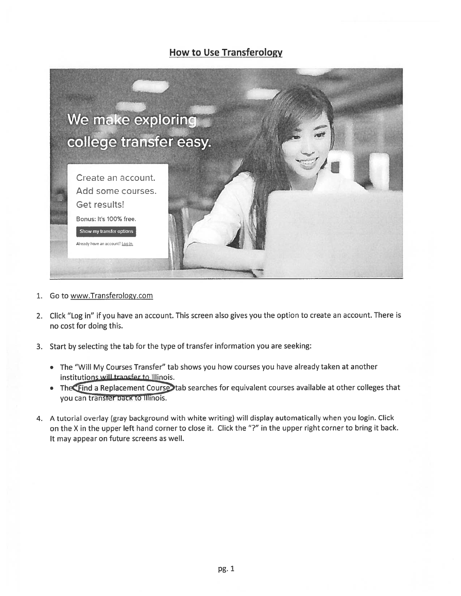## How to Use Transferology



- 1. Go to www.Transferology.com
- 2. Click "Log in" if you have an account. This screen also <sup>g</sup>ives you the option to create an account. There is no cost for doing this.
- 3. Start by selecting the tab for the type of transfer information you are seeking:
	- The "Will My Courses Transfer" tab shows you how courses you have already taken at another institutions will transfer to Illinois.
	- The **The a** Replacement Course tab searches for equivalent courses available at other colleges that you can transfer pack to Illinois.
- 4. A tutorial overlay (gray background with white writing) will display automatically when you login. Click on the <sup>X</sup> in the upper left hand corner to close it. Click the "?" in the upper right corner to bring it back. It may appear on future screens as well.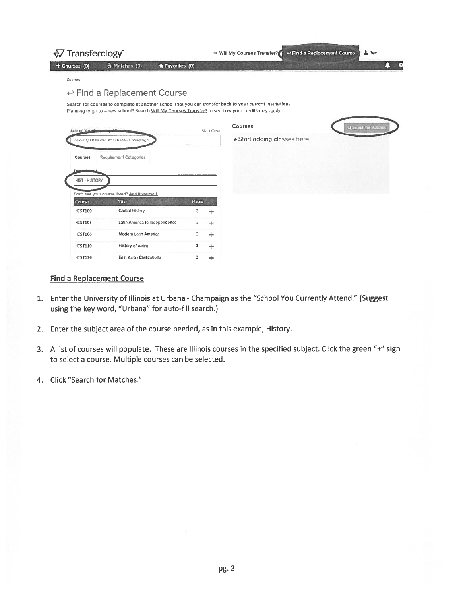|                                              | $\sqrt{2}$ Transferology                                                                                                                                                                                        |              |            | ← Find a Replacement Course<br>$\Delta$ Jer<br>→ Will My Courses Transfer? |  |  |                     |  |
|----------------------------------------------|-----------------------------------------------------------------------------------------------------------------------------------------------------------------------------------------------------------------|--------------|------------|----------------------------------------------------------------------------|--|--|---------------------|--|
| + Courses (0)                                | * Matches (0)<br><b>*</b> Favorites (0)                                                                                                                                                                         |              |            |                                                                            |  |  |                     |  |
| Courses                                      |                                                                                                                                                                                                                 |              |            |                                                                            |  |  |                     |  |
|                                              | $\leftrightarrow$ Find a Replacement Course                                                                                                                                                                     |              |            |                                                                            |  |  |                     |  |
|                                              | Search for courses to complete at another school that you can transfer back to your current institution.<br>Planning to go to a new school? Search Will My Courses Transfer? to see how your credits may apply. |              |            |                                                                            |  |  |                     |  |
| School You Ca                                |                                                                                                                                                                                                                 |              | Start Over | Courses                                                                    |  |  | Q Soarch for Matche |  |
| University Of Illinois At Urbana - Champaign |                                                                                                                                                                                                                 |              |            | ← Start adding classes here                                                |  |  |                     |  |
| Courses                                      | Requirement Categories                                                                                                                                                                                          |              |            |                                                                            |  |  |                     |  |
| <b>HIST - HISTORY</b>                        |                                                                                                                                                                                                                 |              |            |                                                                            |  |  |                     |  |
|                                              | Don't see your course listed? Add it yourself.<br>Title                                                                                                                                                         | <b>Hours</b> |            |                                                                            |  |  |                     |  |
| <b>Course</b><br><b>HIST100</b>              | Global History                                                                                                                                                                                                  | з            | ÷          |                                                                            |  |  |                     |  |
| <b>HIST105</b>                               | Latin America to Independence                                                                                                                                                                                   | 3            | ÷          |                                                                            |  |  |                     |  |
| <b>HIST106</b>                               | Modern Latin America                                                                                                                                                                                            | з            | ÷          |                                                                            |  |  |                     |  |
| <b>HIST110</b>                               | History of Africa                                                                                                                                                                                               | з            | ÷          |                                                                            |  |  |                     |  |

## **Find a Replacement Course**

- 1. Enter the University of Illinois at Urbana Champaign as the "School You Currently Attend." (Suggest using the key word, "Urbana" for auto-fill search.)
- 2. Enter the subject area of the course needed, as in this example, History.
- 3. A list of courses will populate. These are Illinois courses in the specified subject. Click the green "+" sign to select a course. Multiple courses can be selected.
- 4. Click "Search for Matches."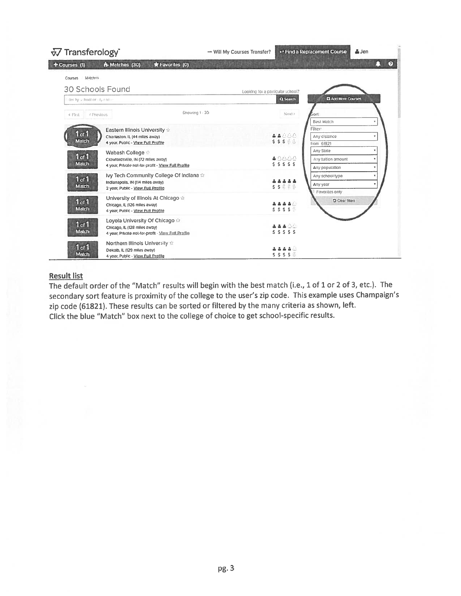| $\sqrt{2}$ Transferology                                                                                                                                 | $\rightarrow$ Will My Courses Transfer? | ↔ Find a Replacement Course                                                       | $\Delta$ Jen               |
|----------------------------------------------------------------------------------------------------------------------------------------------------------|-----------------------------------------|-----------------------------------------------------------------------------------|----------------------------|
| + Courses (1)<br>th Matches (30)<br>Favorites (0)                                                                                                        |                                         |                                                                                   | $\boldsymbol{\Theta}$<br>П |
| / Matches<br>Courses                                                                                                                                     |                                         |                                                                                   |                            |
| <b>30 Schools Found</b>                                                                                                                                  | Looking for a particular school?        |                                                                                   |                            |
| ilter by school or city name                                                                                                                             |                                         | Q Search                                                                          | El Add More Courses        |
| Showing 1 - 30<br>← First<br>< Previous                                                                                                                  |                                         | Next ><br><b>Sort</b>                                                             |                            |
| Eastern Illinois University +<br>$1$ of $1$<br>Charleston, IL (44 miles away)<br>Match<br>4 year Public - View Full Profile                              |                                         | <b>Best Match</b><br>Filter:<br>홀홀스스스<br>Any distance<br>\$\$\$88<br>from 61821   | Ÿ                          |
| Wabash College<br>1 <sub>of</sub> 1<br>Crawfordsville, IN (72 miles away)<br>Match<br>4 year, Private not-for-profit - View Full Profile                 |                                         | Any State<br>48888<br>Any tuition amount<br>$S$ $S$ $S$ $S$ $S$<br>Any population |                            |
| Ivy Tech Community College Of Indiana<br>1 of 1<br>Indianapolis, IN (114 miles away)<br>Match<br>2 year, Public - View Full Profile                      |                                         | Any school type<br>Any year<br>\$ \$ 8 % %<br>Favorites only                      |                            |
| University of Illinois At Chicago $\triangle$<br>1 <sub>of</sub> 1<br>Chicago, IL (126 miles away)<br><b>Match</b><br>4 year, Public - View Full Profile |                                         | 高高高区<br>5555                                                                      | <b>O</b> Clear fitters     |
| Loyola University Of Chicago<br>1 <sub>of</sub> 1<br>Chicago, IL (128 miles away)<br>Match<br>4 year, Private not-for-profit - View Full Profile         |                                         | 22484<br>5555                                                                     |                            |
| Northern Illinois University +<br>1 <sub>of</sub> 1<br>Dekalb, IL (129 miles away)<br>Match<br>4 year, Public - View Full Profile                        |                                         | . 2 2 2 2<br>$S$ $S$ $S$ $S$ $\overline{\overline{S}}$                            |                            |

## **Result list**

The default order of the "Match" results will begin with the best match (i.e., 1 of 1 or 2 of 3, etc.). The secondary sort feature is proximity of the college to the user's zip code. This example uses Champaign's zip code (61821). These results can be sorted or filtered by the many criteria as shown, left. Click the blue "Match" box next to the college of choice to get school-specific results.